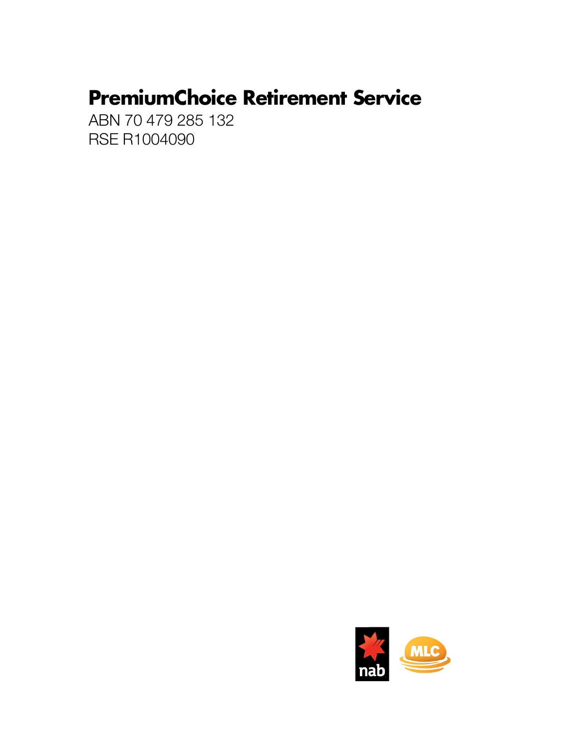# **PremiumChoice Retirement Service**

ABN 70 479 285 132 **RSE R1004090** 

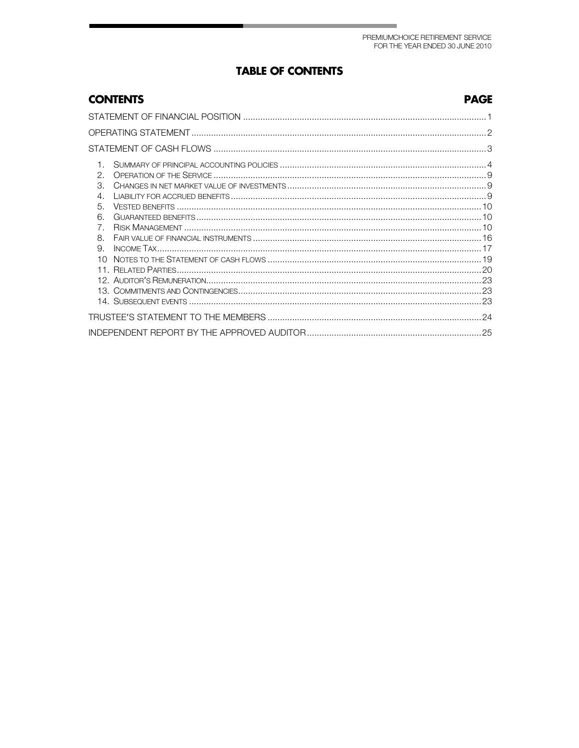## **TABLE OF CONTENTS**

## **CONTENTS**

#### **PAGE**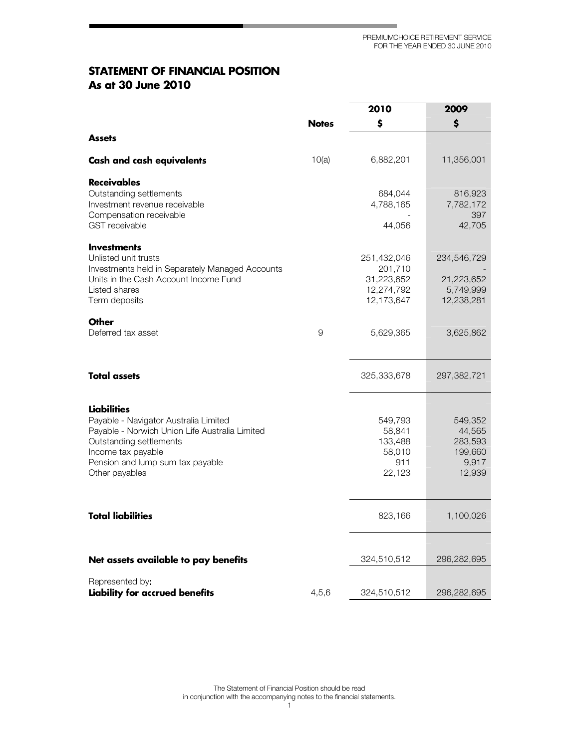**Contract Contract** 

## **STATEMENT OF FINANCIAL POSITION** As at 30 June 2010

|                                                                                                                                                                                                               |              | 2010                                                             | 2009                                                       |
|---------------------------------------------------------------------------------------------------------------------------------------------------------------------------------------------------------------|--------------|------------------------------------------------------------------|------------------------------------------------------------|
|                                                                                                                                                                                                               | <b>Notes</b> | \$                                                               | \$                                                         |
| <b>Assets</b>                                                                                                                                                                                                 |              |                                                                  |                                                            |
| <b>Cash and cash equivalents</b>                                                                                                                                                                              | 10(a)        | 6,882,201                                                        | 11,356,001                                                 |
| <b>Receivables</b><br>Outstanding settlements<br>Investment revenue receivable<br>Compensation receivable<br><b>GST</b> receivable                                                                            |              | 684,044<br>4,788,165<br>44,056                                   | 816,923<br>7,782,172<br>397<br>42,705                      |
| <b>Investments</b><br>Unlisted unit trusts<br>Investments held in Separately Managed Accounts<br>Units in the Cash Account Income Fund<br>Listed shares<br>Term deposits                                      |              | 251,432,046<br>201,710<br>31,223,652<br>12,274,792<br>12,173,647 | 234,546,729<br>21,223,652<br>5,749,999<br>12,238,281       |
| <b>Other</b><br>Deferred tax asset                                                                                                                                                                            | 9            | 5,629,365                                                        | 3,625,862                                                  |
| <b>Total assets</b>                                                                                                                                                                                           |              | 325,333,678                                                      | 297,382,721                                                |
| Liabilities<br>Payable - Navigator Australia Limited<br>Payable - Norwich Union Life Australia Limited<br>Outstanding settlements<br>Income tax payable<br>Pension and lump sum tax payable<br>Other payables |              | 549,793<br>58,841<br>133,488<br>58,010<br>911<br>22,123          | 549,352<br>44,565<br>283,593<br>199,660<br>9,917<br>12,939 |
| <b>Total liabilities</b>                                                                                                                                                                                      |              | 823,166                                                          | 1,100,026                                                  |
| Net assets available to pay benefits                                                                                                                                                                          |              | 324,510,512                                                      | 296,282,695                                                |
| Represented by:<br>Liability for accrued benefits                                                                                                                                                             | 4,5,6        | 324,510,512                                                      | 296,282,695                                                |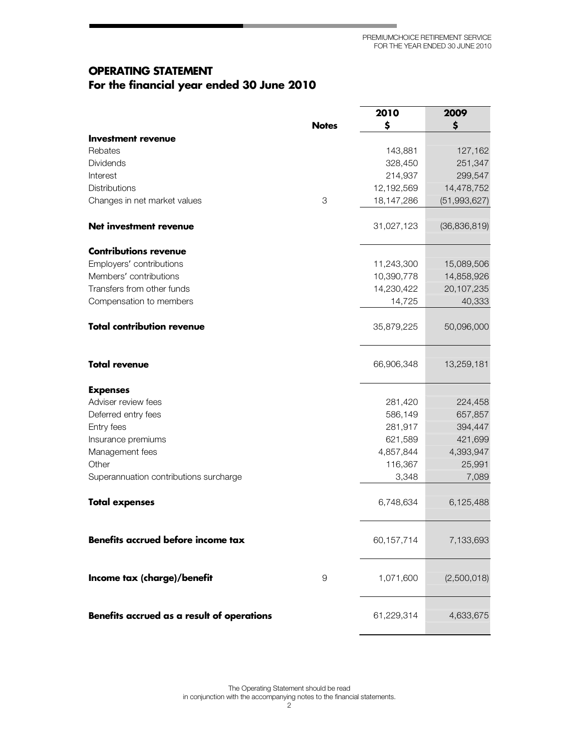۰

## **OPERATING STATEMENT** For the financial year ended 30 June 201(

|                                            |              | 2010       | 2009           |
|--------------------------------------------|--------------|------------|----------------|
|                                            | <b>Notes</b> | \$         | \$             |
| Investment revenue                         |              |            |                |
| Rebates                                    |              | 143,881    | 127,162        |
| <b>Dividends</b>                           |              | 328,450    | 251,347        |
| Interest                                   |              | 214,937    | 299,547        |
| <b>Distributions</b>                       |              | 12,192,569 | 14,478,752     |
| Changes in net market values               | 3            | 18,147,286 | (51, 993, 627) |
| Net investment revenue                     |              | 31,027,123 | (36, 836, 819) |
| <b>Contributions revenue</b>               |              |            |                |
| Employers' contributions                   |              | 11,243,300 | 15,089,506     |
| Members' contributions                     |              | 10,390,778 | 14,858,926     |
| Transfers from other funds                 |              | 14,230,422 | 20,107,235     |
| Compensation to members                    |              | 14,725     | 40,333         |
| <b>Total contribution revenue</b>          |              | 35,879,225 | 50,096,000     |
| <b>Total revenue</b>                       |              | 66,906,348 | 13,259,181     |
| <b>Expenses</b>                            |              |            |                |
| Adviser review fees                        |              | 281,420    | 224,458        |
| Deferred entry fees                        |              | 586,149    | 657,857        |
| Entry fees                                 |              | 281,917    | 394,447        |
| Insurance premiums                         |              | 621,589    | 421,699        |
| Management fees                            |              | 4,857,844  | 4,393,947      |
| Other                                      |              | 116,367    | 25,991         |
| Superannuation contributions surcharge     |              | 3,348      | 7,089          |
| <b>Total expenses</b>                      |              | 6,748,634  | 6,125,488      |
| Benefits accrued before income tax         |              | 60,157,714 | 7,133,693      |
| Income tax (charge)/benefit                | 9            | 1,071,600  | (2,500,018)    |
| Benefits accrued as a result of operations |              | 61,229,314 | 4,633,675      |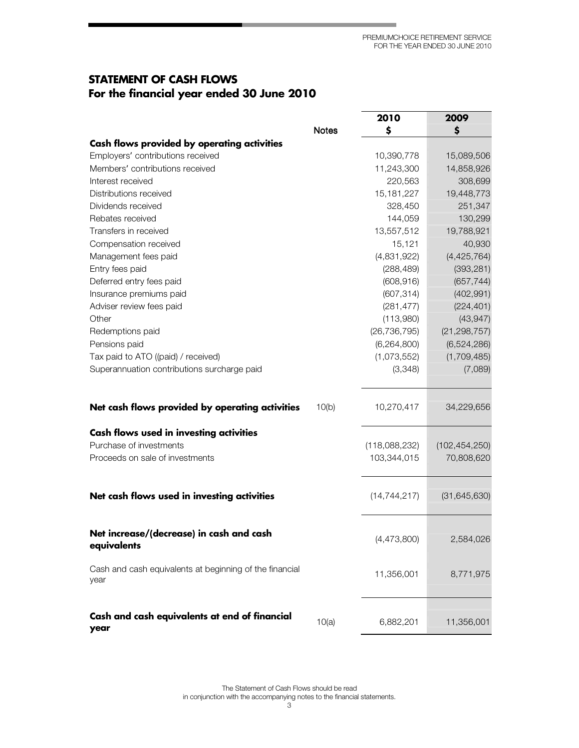٠

## **STATEMENT OF CASH FLOWS** For the financial year ended 30 June 201(

|                                                                           |              | 2010                         | 2009                          |
|---------------------------------------------------------------------------|--------------|------------------------------|-------------------------------|
|                                                                           | <b>Notes</b> | \$                           | \$                            |
| Cash flows provided by operating activities                               |              |                              |                               |
| Employers' contributions received                                         |              | 10,390,778                   | 15,089,506                    |
| Members' contributions received                                           |              | 11,243,300                   | 14,858,926                    |
| Interest received                                                         |              | 220,563                      | 308,699                       |
| Distributions received                                                    |              | 15, 181, 227                 | 19,448,773                    |
| Dividends received                                                        |              | 328,450                      | 251,347                       |
| Rebates received                                                          |              | 144,059                      | 130,299                       |
| Transfers in received                                                     |              | 13,557,512                   | 19,788,921                    |
| Compensation received                                                     |              | 15,121                       | 40,930                        |
| Management fees paid                                                      |              | (4,831,922)                  | (4, 425, 764)                 |
| Entry fees paid                                                           |              | (288, 489)                   | (393, 281)                    |
| Deferred entry fees paid                                                  |              | (608, 916)                   | (657, 744)                    |
| Insurance premiums paid                                                   |              | (607, 314)                   | (402, 991)                    |
| Adviser review fees paid                                                  |              | (281, 477)                   | (224, 401)                    |
| Other                                                                     |              | (113,980)                    | (43, 947)                     |
| Redemptions paid                                                          |              | (26, 736, 795)               | (21, 298, 757)                |
| Pensions paid                                                             |              | (6, 264, 800)                | (6,524,286)                   |
| Tax paid to ATO ((paid) / received)                                       |              | (1,073,552)                  | (1,709,485)                   |
| Superannuation contributions surcharge paid                               |              | (3,348)                      | (7,089)                       |
| Net cash flows provided by operating activities                           | 10(b)        | 10,270,417                   | 34,229,656                    |
|                                                                           |              |                              |                               |
| <b>Cash flows used in investing activities</b><br>Purchase of investments |              |                              |                               |
| Proceeds on sale of investments                                           |              | (118,088,232)<br>103,344,015 | (102, 454, 250)<br>70,808,620 |
|                                                                           |              |                              |                               |
| Net cash flows used in investing activities                               |              | (14, 744, 217)               | (31, 645, 630)                |
| Net increase/(decrease) in cash and cash<br>equivalents                   |              | (4,473,800)                  | 2,584,026                     |
| Cash and cash equivalents at beginning of the financial<br>year           |              | 11,356,001                   | 8,771,975                     |
| Cash and cash equivalents at end of financial<br>year                     | 10(a)        | 6,882,201                    | 11,356,001                    |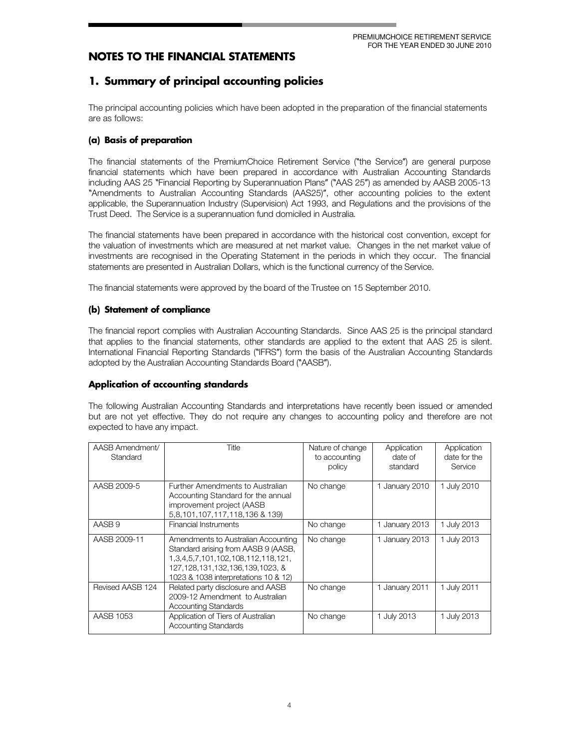## 1. Summary of principal accounting policies

The principal accounting policies which have been adopted in the preparation of the financial statements are as follows:

### (a) Basis of preparation

The financial statements of the Premium Choice Retirement Service ("the Service") are general purpose financial statements which have been prepared in accordance with Australian Accounting Standards including AAS 25 "Financial Reporting by Superannuation Plans" ("AAS 25") as amended by AASB 2005-13 "Am endm ents to Australian Accounting Standards (AAS25)", other accounting policies to the extent applicable, the Superannuation Industry (Supervision) Act 1993, and Regulations and the provisions ofthe Trust Deed. The Service is a superannuation fund domiciled in Australia.

The financial statements have been prepared in accordance with the historical cost convention, except for the valuation of investments which are measured at net market value. Changes in the net market value of investments are recognised in the Operating Statement in the periods in which they occur. The financial statements are presented in Australian Dollars, which is the functional currency of the Service.

The financial statements were approved by the board of the Trustee on 15 September 2010.

#### (b) Statement of compliance

The financial report complies with Australian Accounting Standards. Since AAS 25 is the principal standard that applies to the financial statements, other standards are applied to the extent that AAS 25 is silent. International Financial Reporting Standards ("IFRS") form the basis of the Australian Accounting Standards adopted by the Australian Accounting Standards Board ("AASB").

#### Application of accounting standards

The following Australian Accounting Standards and interpretations have recently been issued or amended but are not yet effective. They do not require any changes to accounting policy and therefore are not expected to have any impact.

| AASB Amendment/<br>Standard | Title                                                                                                                                                                                                 | Nature of change<br>to accounting<br>policy | Application<br>date of<br>standard | Application<br>date for the<br>Service |
|-----------------------------|-------------------------------------------------------------------------------------------------------------------------------------------------------------------------------------------------------|---------------------------------------------|------------------------------------|----------------------------------------|
| AASB 2009-5                 | Further Amendments to Australian<br>Accounting Standard for the annual<br>improvement project (AASB<br>5,8,101,107,117,118,136 & 139)                                                                 | No change                                   | 1 January 2010                     | 1 July 2010                            |
| AASB <sub>9</sub>           | Financial Instruments                                                                                                                                                                                 | No change                                   | 1 January 2013                     | July 2013                              |
| AASB 2009-11                | Amendments to Australian Accounting<br>Standard arising from AASB 9 (AASB,<br>1, 3, 4, 5, 7, 101, 102, 108, 112, 118, 121,<br>127,128,131,132,136,139,1023, &<br>1023 & 1038 interpretations 10 & 12) | No change                                   | 1 January 2013                     | 1 July 2013                            |
| Revised AASB 124            | Related party disclosure and AASB<br>2009-12 Amendment to Australian<br><b>Accounting Standards</b>                                                                                                   | No change                                   | 1 January 2011                     | 1 July 2011                            |
| AASB 1053                   | Application of Tiers of Australian<br><b>Accounting Standards</b>                                                                                                                                     | No change                                   | 1 July 2013                        | 1 July 2013                            |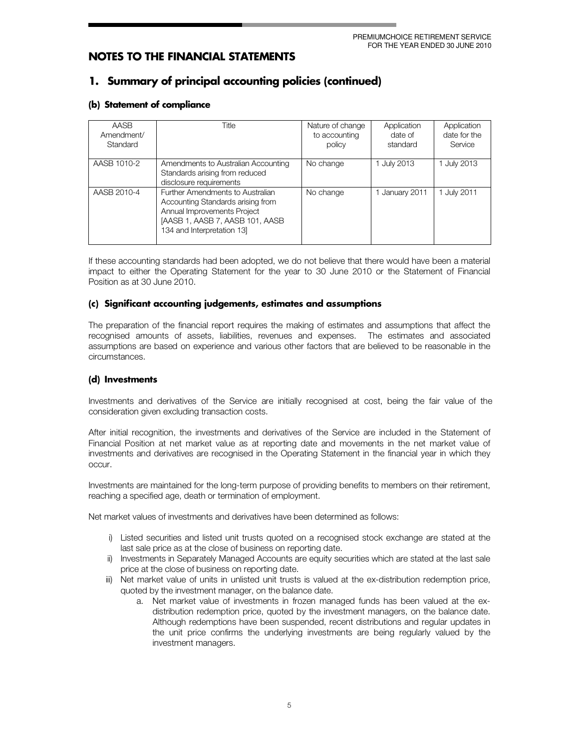## 1. Summary of principal accounting policies (continued)

#### (b) Statement of compliance

| AASB<br>Amendment/<br>Standard | Title                                                                                                                                                                | Nature of change<br>to accounting<br>policy | Application<br>date of<br>standard | Application<br>date for the<br>Service |
|--------------------------------|----------------------------------------------------------------------------------------------------------------------------------------------------------------------|---------------------------------------------|------------------------------------|----------------------------------------|
| AASB 1010-2                    | Amendments to Australian Accounting<br>Standards arising from reduced<br>disclosure requirements                                                                     | No change                                   | 1 July 2013                        | 1 July 2013                            |
| AASB 2010-4                    | Further Amendments to Australian<br>Accounting Standards arising from<br>Annual Improvements Project<br>[AASB 1, AASB 7, AASB 101, AASB<br>134 and Interpretation 13 | No change                                   | January 2011                       | 1 July 2011                            |

If these accounting standards had been adopted, we do not believe that there would have been a material impact to either the Operating Statement for the year to 30 June 2010 or the Statement of Financial Position as at 30 June 2010.

#### (c) Significant accounting judgements, estimates and assumptions

The preparation of the financial report requires the making of estimates and assumptions that affect the recognised amounts of assets, liabilities, revenues and expenses. The estimates and associated assum ptions are based on experience and various other factors that are believed to be reasonable in the circum stances.

#### (d) Investments

Investments and derivatives of the Service are initially recognised at cost, being the fair value of the consideration given excluding transaction costs.

After initial recognition, the investments and derivatives of the Service are included in the Statement of Financial Position at net market value as at reporting date and movements in the net market value of investments and derivatives are recognised in the Operating Statement in the financial year in which they occur.

Investments are maintained for the long-term purpose of providing benefits to members on their retirement, reaching a specified age, death or termination of employment.

Net market values of investments and derivatives have been determined as follows:

- i) Listed securities and listed unit trusts quoted on a recognised stock exchange are stated at the last sale price as at the close of business on reporting date.
- ii) Investments in Separately Managed Accounts are equity securities which are stated at the last sale price at the close of business on reporting date.
- iii) Net market value of units in unlisted unit trusts is valued at the ex-distribution redemption price, quoted by the investment manager, on the balance date.
	- a. Net market value of investments in frozen managed funds has been valued at the exdistribution redemption price, quoted by the investment managers, on the balance date. Although redemptions have been suspended, recent distributions and regular updates in the unit price confirms the underlying investments are being regularly valued by the investment managers.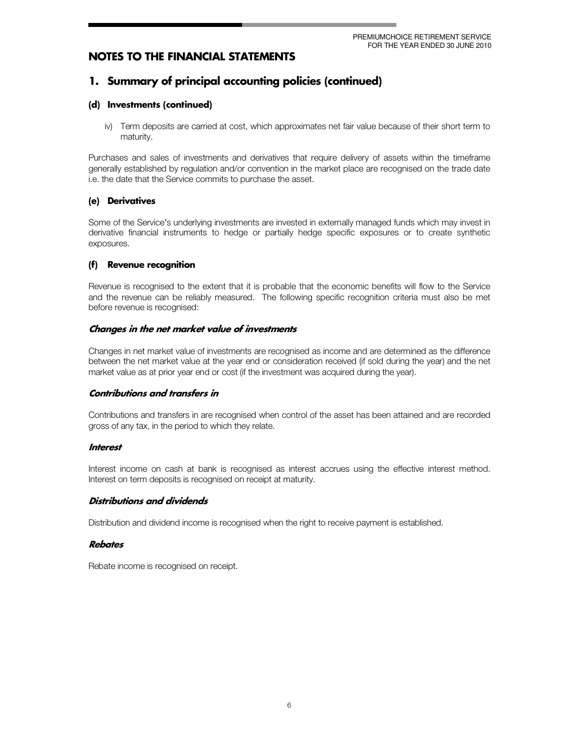## 1. Summary of principal accounting policies (continued)

#### (d) Investments (continued)

iv) Term deposits are carried at cost, which approximates net fair value because of their short term to maturity.

Purchases and sales of investments and derivatives that require delivery of assets within the timeframe generally established by regulation and/or convention in the market place are recognised on the trade date i.e. the date that the Service commits to purchase the asset.

#### (e) Derivatives

Some of the Service's underlying investments are invested in externally managed funds which may invest in derivative financial instruments to hedge or partially hedge specific exposures or to create synthetic exposures.

#### $(f)$ Revenue recognition

Revenue is recognised to the extent that it is probable that the economic benefits will flow to the Service and the revenue can be reliably measured. The following specific recognition criteria must also be met before revenue is recognised:

#### Changes in the net market value of investments

Changes in net market value of investments are recognised as income and are determined as the difference between the net market value at the year end or consideration received (if sold during the year) and the net market value as at prior year end or cost (if the investment was acquired during the year).

#### **Contributions and transfers in**

Contributions and transfers in are recognised when control of the asset has been attained and are recorded gross of any tax, in the period to which they relate.

#### **Interest**

Interest income on cash at bank is recognised as interest accrues using the effective interest method. Interest on term deposits is recognised on receipt at maturity.

#### Distributions and dividends

Distribution and dividend income is recognised when the right to receive payment is established.

#### **Rebates**

Rebate income is recognised on receipt.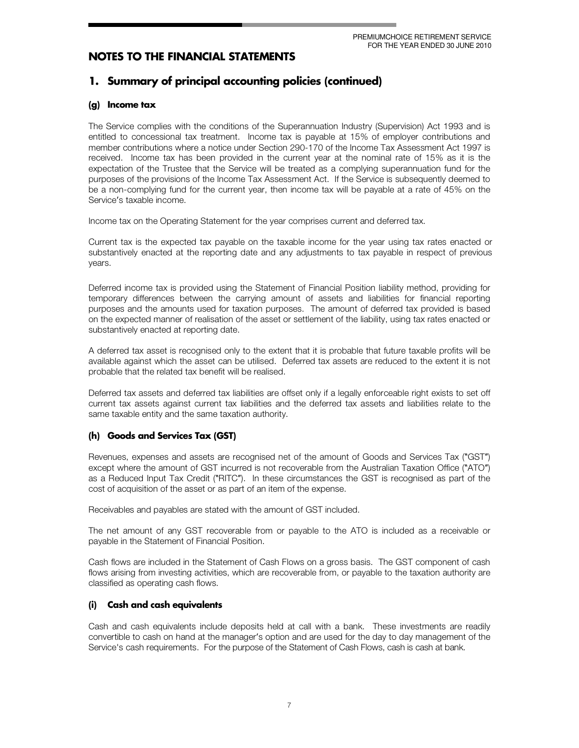## 1. Summary of principal accounting policies (continued)

#### (g) Income tax

The Service complies with the conditions of the Superannuation Industry (Supervision) Act 1993 and is entitled to concessional tax treatment. Income tax is payable at 15% of employer contributions and member contributions where a notice under Section 290-170 of the Income Tax Assessment Act 1997 is received. Income tax has been provided in the current year at the nominal rate of 15% as it is the expectation of the Trustee that the Service will be treated as a complying superannuation fund for the purposes of the provisions of the Income Tax Assessment Act. If the Service is subsequently deemed to be a non-complying fund for the current year, then income tax will be payable at a rate of 45% on the Service's taxable income.

Income tax on the Operating Statement for the year comprises current and deferred tax.

Current tax is the expected tax payable on the taxable income for the year using tax rates enacted or substantively enacted at the reporting date and any adjustments to tax payable in respect of previous years.

Deferred income tax is provided using the Statement of Financial Position liability method, providing for temporary differences between the carrying amount of assets and liabilities for financial reporting purposes and the amounts used for taxation purposes. The amount of deferred tax provided is based on the expected manner of realisation of the asset or settlement of the liability, using tax rates enacted or substantively enacted at reporting date.

A deferred tax asset is recognised only to the extent that it is probable that future taxable profits will be available against which the asset can be utilised. Deferred tax assets are reduced to the extent it is not probable that the related tax benefit will be realised.

Deferred tax assets and deferred tax liabilities are offset only if a legally enforceable right exists to set off current tax assets against current tax liabilities and the deferred tax assets and liabilities relate to the same taxable entity and the same taxation authority.

#### (h) Goods and Services Tax (GST)

Revenues, expenses and assets are recognised net of the amount of Goods and Services Tax ("GST") except where the amount of GST incurred is not recoverable from the Australian Taxation Office ("ATO") as a Reduced Input Tax Credit ("RITC"). In these circumstances the GST is recognised as part of the cost of acquisition of the asset or as part of an item of the expense.

Receivables and payables are stated with the amount of GST included.

The net amount of any GST recoverable from or payable to the ATO is included as a receivable or payable in the Statement of Financial Position.

Cash flows are included in the Statement of Cash Flows on a gross basis. The GST component of cash flows arising from investing activities, which are recoverable from, or payable to the taxation authority are classified as operating cash flows.

#### **Cash and cash equivalents**  $(i)$

Cash and cash equivalents include deposits held at call with a bank. These investments are readily convertible to cash on hand at the manager's option and are used for the day to day management of the Service's cash requirements. For the purpose of the Statement of Cash Flows, cash is cash at bank.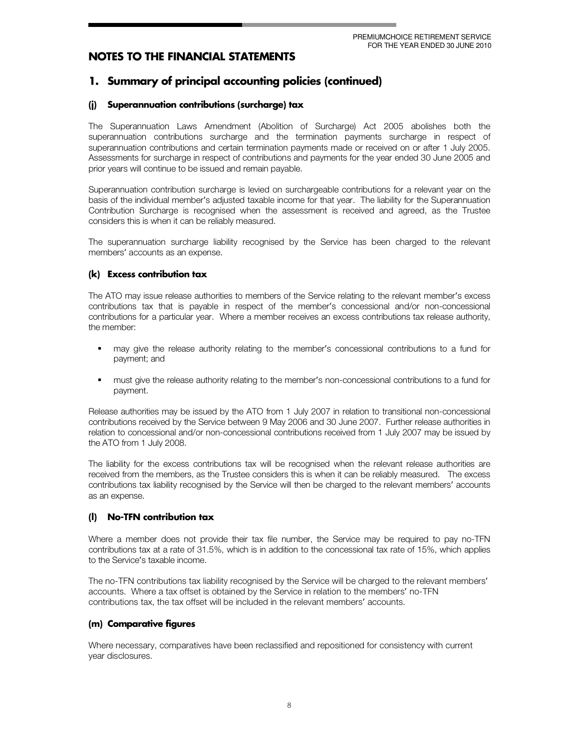## 1. Summary of principal accounting policies (continued)

#### Superannuation contributions (surcharge) tax  $(i)$

The Superannuation Laws Amendment (Abolition of Surcharge) Act 2005 abolishes both the superannuation contributions surcharge and the termination payments surcharge in respect of superannuation contributions and certain termination payments made or received on or after 1 July 2005. Assessments for surcharge in respect of contributions and payments for the year ended 30 June 2005 and prior years will continue to be issued and remain payable.

Superannuation contribution surcharge is levied on surchargeable contributions for a relevant year on the basis of the individual member's adjusted taxable income for that year. The liability for the Superannuation Contribution Surcharge is recognised when the assessment is received and agreed, as the Trustee considers this is when it can be reliably measured.

The superannuation surcharge liability recognised by the Service has been charged to the relevant members' accounts as an expense.

#### (k) Excess contribution tax

The ATO may issue release authorities to members of the Service relating to the relevant member's excess contributions tax that is payable in respect of the member's concessional and/or non-concessional contributions for a particular year. Where a member receives an excess contributions tax release authority, the member:

- may give the release authority relating to the member's concessional contributions to a fund for payment; and
- must give the release authority relating to the member's non-concessional contributions to a fund for payment.

Release authorities may be issued by the ATO from 1 July 2007 in relation to transitional non-concessional contributions received by the Service between 9 May 2006 and 30 June 2007. Further release authorities in relation to concessional and/or non-concessional contributions received from 1 July 2007 may be issued by the ATO from 1 July 2008.

The liability for the excess contributions tax will be recognised when the relevant release authorities are received from the members, as the Trustee considers this is when it can be reliably measured. The excess contributions tax liability recognised by the Service will then be charged to the relevant members' accounts as an expense.

#### **No-TFN contribution tax**  $\mathbf{I}$

Where a member does not provide their tax file number, the Service may be required to pay no-TFN contributions tax at a rate of 31.5%, which is in addition to the concessional tax rate of 15%, which applies to the Service's taxable income.

The no-TFN contributions tax liability recognised by the Service will be charged to the relevant members' accounts. Where a tax offset is obtained by the Service in relation to the members' no-TFN contributions tax, the tax offset will be included in the relevant members' accounts.

### (m) Comparative figures

Where necessary, comparatives have been reclassified and repositioned for consistency with current year disclosures.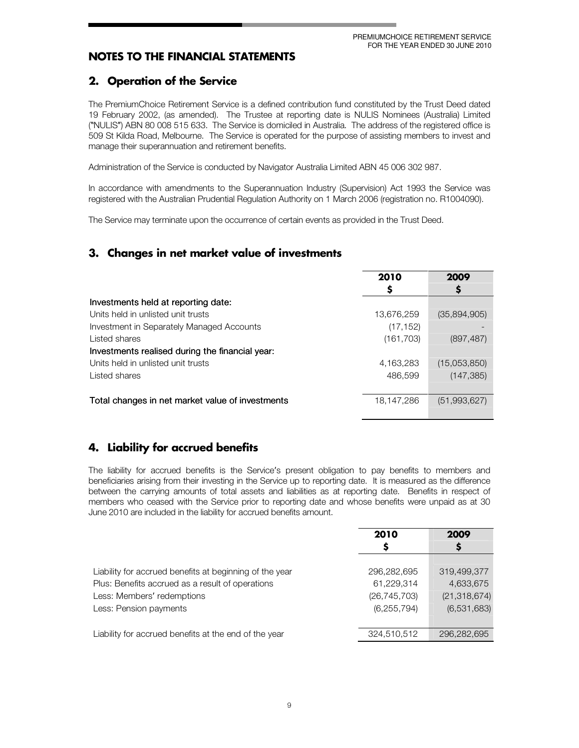## 2. Operation of the Service

The PremiumChoice Retirement Service is a defined contribution fund constituted by the Trust Deed dated 19 February 2002, (as amended). The Trustee at reporting date is NULIS Nominees (Australia) Limited ("NULIS") ABN 80 008 515 633. The Service is domiciled in Australia. The address of the registered office is 509 St Kilda Road, Melbourne. The Service is operated for the purpose of assisting members to invest and manage their superannuation and retirement benefits.

Administration of the Service is conducted by Navigator Australia Limited ABN 45 006 302 987.

In accordance with amendments to the Superannuation Industry (Supervision) Act 1993 the Service was registered with the Australian Prudential Regulation Authority on 1 March 2006 (registration no. R1004090).

The Service may terminate upon the occurrence of certain events as provided in the Trust Deed.

## 3. Changes in net market value of investments

|                                                  | 2010       | 2009         |
|--------------------------------------------------|------------|--------------|
|                                                  | S          |              |
| Investments held at reporting date:              |            |              |
| Units held in unlisted unit trusts               | 13,676,259 | (35,894,905) |
| Investment in Separately Managed Accounts        | (17, 152)  |              |
| Listed shares                                    | (161, 703) | (897, 487)   |
| Investments realised during the financial year:  |            |              |
| Units held in unlisted unit trusts               | 4,163,283  | (15,053,850) |
| Listed shares                                    | 486,599    | (147, 385)   |
|                                                  |            |              |
| Total changes in net market value of investments | 18,147,286 | (51,993,627) |
|                                                  |            |              |

## 4. Liability for accrued benefits

The liability for accrued benefits is the Service's present obligation to pay benefits to members and beneficiaries arising from their investing in the Service up to reporting date. It is measured as the difference between the carrying amounts of total assets and liabilities as at reporting date. Benefits in respect of members who ceased with the Service prior to reporting date and whose benefits were unpaid as at 30 June 2010 are included in the liability for accrued benefits amount.

|                                                                                | 2010<br>S                    | 2009<br>Ş                   |
|--------------------------------------------------------------------------------|------------------------------|-----------------------------|
| Liability for accrued benefits at beginning of the year                        | 296,282,695                  | 319,499,377                 |
| Plus: Benefits accrued as a result of operations<br>Less: Members' redemptions | 61,229,314<br>(26, 745, 703) | 4,633,675<br>(21, 318, 674) |
| Less: Pension payments                                                         | (6, 255, 794)                | (6,531,683)                 |
| Liability for accrued benefits at the end of the year                          | 324,510,512                  | 296.282.695                 |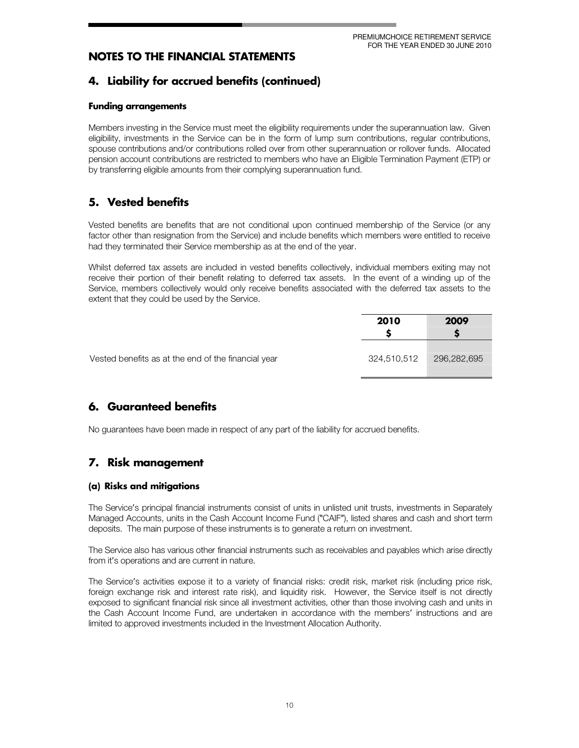## 4. Liability for accrued benefits (continued)

#### **Funding arrangements**

Members investing in the Service must meet the eligibility requirements under the superannuation law. Given eligibility, investments in the Service can be in the form of lump sum contributions, regular contributions, spouse contributions and/or contributions rolled over from other superannuation or rollover funds. Allocated pension account contributions are restricted to members who have an Eligible Termination Payment (ETP) or by transferring eligible amounts from their complying superannuation fund.

## 5. Vested benefits

Vested benefits are benefits that are not conditional upon continued membership of the Service (or any factor other than resignation from the Service) and include benefits which members were entitled to receive had they terminated their Service membership as at the end of the year.

Whilst deferred tax assets are included in vested benefits collectively, individual members exiting may not receive their portion of their benefit relating to deferred tax assets. In the event of a winding up of the Service, members collectively would only receive benefits associated with the deferred tax assets to the extent that they could be used by the Service.

|                                                     | 2010        | 2009        |
|-----------------------------------------------------|-------------|-------------|
| Vested benefits as at the end of the financial year | 324,510,512 | 296,282,695 |

## 6. Guaranteed benefits

No guarantees have been made in respect of any part of the liability for accrued benefits.

## 7. Risk management

#### (a) Risks and mitigations

The Service's principal financial instruments consist of units in unlisted unit trusts, investments in Separately Managed Accounts, units in the Cash Account Income Fund ("CAIF"), listed shares and cash and short term deposits. The main purpose of these instruments is to generate a return on investment.

The Service also has various other financial instruments such as receivables and payables which arise directly from it's operations and are current in nature.

The Service's activities expose it to a variety of financial risks: credit risk, market risk (including price risk, foreign exchange risk and interest rate risk), and liquidity risk. However, the Service itself is not directly exposed to significant financial risk since all investment activities, other than those involving cash and units in the Cash Account Income Fund, are undertaken in accordance with the members' instructions and are limited to approved investments included in the Investment Allocation Authority.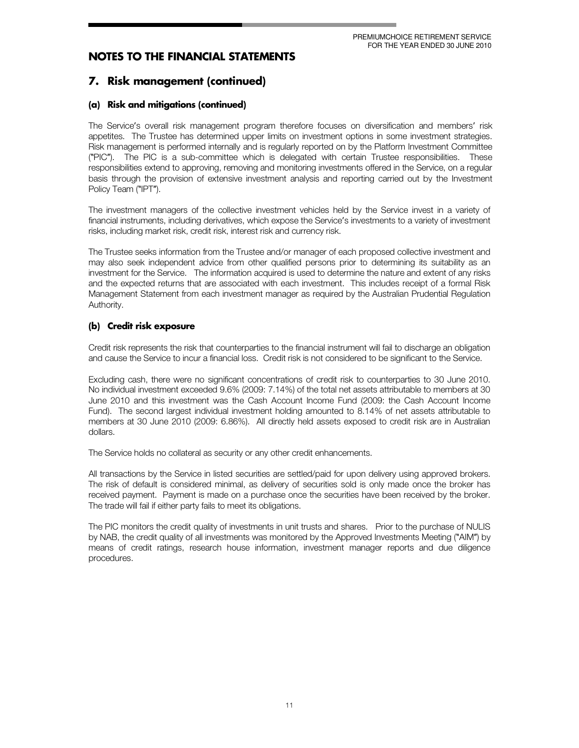## 7. Risk management (continued)

### (a) Risk and mitigations (continued)

The Service's overall risk management program therefore focuses on diversification and members' risk appetites. The Trustee has determined upper limits on investment options in some investment strategies. Risk management is performed internally and is regularly reported on by the Platform Investment Committee ("PIC"). The PIC is a sub-committee which is delegated with certain Trustee responsibilities. These responsibilities extend to approving, removing and monitoring investments offered in the Service, on a regular basis through the provision of extensive investment analysis and reporting carried out by the Investment Policy Team ("IPT").

The investment managers of the collective investment vehicles held by the Service invest in a variety of financial instruments, including derivatives, which expose the Service's investments to a variety of investment risks, including market risk, credit risk, interest risk and currency risk.

The Trustee seeks information from the Trustee and/or manager of each proposed collective investment and may also seek independent advice from other qualified persons prior to determining its suitability as an investment for the Service. The information acquired is used to determine the nature and extent of any risks and the expected returns that are associated with each investment. This includes receipt of a formal Risk Management Statement from each investment manager as required by the Australian Prudential Regulation Authority.

### (b) Credit risk exposure

Credit risk represents the risk that counterparties to the financial instrument will fail to discharge an obligation and cause the Service to incur a financialloss. Credit risk is not considered to be significant to the Service.

Excluding cash, there were no significant concentrations of credit risk to counterparties to 30 June 2010. No individual investment exceeded 9.6% (2009: 7.14%) of the total net assets attributable to members at 30 June 2010 and this investment was the Cash Account Income Fund (2009: the Cash Account Income Fund). The second largest individual investment holding amounted to 8.14% of net assets attributable to members at 30 June 2010 (2009: 6.86%). All directly held assets exposed to credit risk are in Australian dollars.

The Service holds no collateral as security or any other credit enhancements.

All transactions by the Service in listed securities are settled/paid for upon delivery using approved brokers. The risk of default is considered minimal, as delivery of securities sold is only made once the broker has received payment. Payment is made on a purchase once the securities have been received by the broker. The trade will fail if either party fails to meet its obligations.

The PIC monitors the credit quality of investments in unit trusts and shares. Prior to the purchase of NULIS by NAB, the credit quality of all investments was monitored by the Approved Investments Meeting ("AIM") by means of credit ratings, research house information, investment manager reports and due diligence procedures.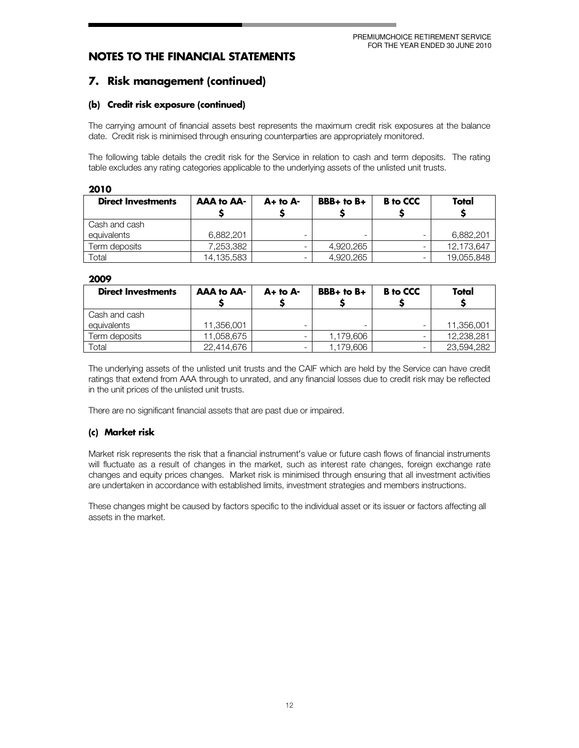## 7. Risk management (continued)

#### (b) Credit risk exposure (continued)

The carrying amount of financial assets best represents the maximum credit risk exposures at the balance date. Credit risk is minimised through ensuring counterparties are appropriately monitored.

The following table details the credit risk for the Service in relation to cash and term deposits. The rating table excludes any rating categories applicable to the underlying assets of the unlisted unit trusts.

| 2010                      |                   |              |                |                 |            |
|---------------------------|-------------------|--------------|----------------|-----------------|------------|
| <b>Direct Investments</b> | <b>AAA to AA-</b> | $A+$ to $A-$ | $BBB+$ to $B+$ | <b>B</b> to CCC | Total      |
|                           |                   |              |                |                 |            |
| Cash and cash             |                   |              |                |                 |            |
| equivalents               | 6.882.201         | -            | ۰              |                 | 6,882,201  |
| Term deposits             | 7,253,382         |              | 4,920,265      |                 | 12,173,647 |
| Total                     | 14,135,583        | -            | 4,920,265      |                 | 19,055,848 |

#### 2009

| <b>Direct Investments</b> | <b>AAA to AA-</b> | $A+$ to $A-$ | $BBB+$ to $B+$ | <b>B</b> to CCC | Total      |
|---------------------------|-------------------|--------------|----------------|-----------------|------------|
| Cash and cash             |                   |              |                |                 |            |
| equivalents               | 11.356.001        | -            |                |                 | 11,356,001 |
| Term deposits             | 11,058,675        |              | 1.179.606      |                 | 12.238.281 |
| Total                     | 22.414.676        | -            | 1.179.606      |                 | 23,594,282 |

The underlying assets of the unlisted unit trusts and the CAIF which are held by the Service can have credit ratings that extend from AAA through to unrated, and any financial losses due to credit risk may be reflected in the unit prices of the unlisted unit trusts.

There are no significant financial assets that are past due or impaired.

#### (c) Market risk

Market risk represents the risk that a financial instrument's value or future cash flows of financial instruments will fluctuate as a result of changes in the market, such as interest rate changes, foreign exchange rate changes and equity prices changes. Market risk is minimised through ensuring that all investment activities are undertaken in accordance with established limits, investment strategies and members instructions.

These changes might be caused by factors specific to the individual asset or its issuer or factors affecting all assets in the market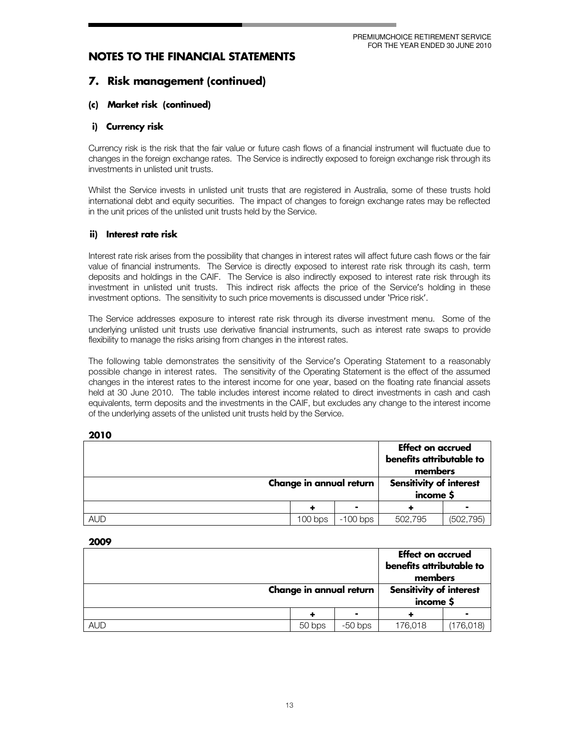## 7. Risk management (continued)

#### (c) Market risk (continued)

#### i) Currency risk

Currency risk is the risk that the fair value or future cash flows of a financial instrument will fluctuate due to changes in the foreign exchange rates. The Service is indirectly exposed to foreign exchange risk through its investments in unlisted unit trusts.

Whilst the Service invests in unlisted unit trusts that are registered in Australia, some of these trusts hold international debt and equity securities. The impact of changes to foreign exchange rates may be reflected in the unit prices of the unlisted unit trusts held by the Service.

#### ii) Interest rate risk

Interest rate risk arises from the possibility that changes in interest rates will affect future cash flows or the fair value of financial instruments. The Service is directly exposed to interest rate risk through its cash, term deposits and holdings in the CAIF. The Service is also indirectly exposed to interest rate risk through its investment in unlisted unit trusts. This indirect risk affects the price of the Service's holding in these investment options. The sensitivity to such price movements is discussed under 'Price risk'.

The Service addresses exposure to interest rate risk through its diverse investment menu. Some of the underlying unlisted unit trusts use derivative financial instruments, such as interest rate swaps to provide flexibility to manage the risks arising from changes in the interest rates.

The following table demonstrates the sensitivity of the Service's Operating Statement to a reasonably possible change in interest rates. The sensitivity of the Operating Statement is the effect of the assumed changes in the interest rates to the interest income for one year, based on the floating rate financial assets held at 30 June 2010. The table includes interest income related to direct investments in cash and cash equivalents, term deposits and the investments in the CAIF, but excludes any change to the interest income of the underlying assets of the unlisted unit trusts held by the Service.

| ×<br>×<br>۰.<br>۰. |
|--------------------|

|            | Change in annual return |            | <b>Effect on accrued</b><br>benefits attributable to<br>members |            |
|------------|-------------------------|------------|-----------------------------------------------------------------|------------|
|            |                         |            | <b>Sensitivity of interest</b><br>income \$                     |            |
|            |                         |            |                                                                 |            |
| <b>AUD</b> | $100$ bps               | $-100$ bps | 502.795                                                         | (502, 795) |

| ----       |                         |           |                                                                 |           |
|------------|-------------------------|-----------|-----------------------------------------------------------------|-----------|
|            |                         |           | <b>Effect on accrued</b><br>benefits attributable to<br>members |           |
|            | Change in annual return |           | <b>Sensitivity of interest</b><br>income \$                     |           |
|            |                         | ۰         |                                                                 |           |
| <b>AUD</b> | 50 bps                  | $-50$ bps | 176,018                                                         | (176,018) |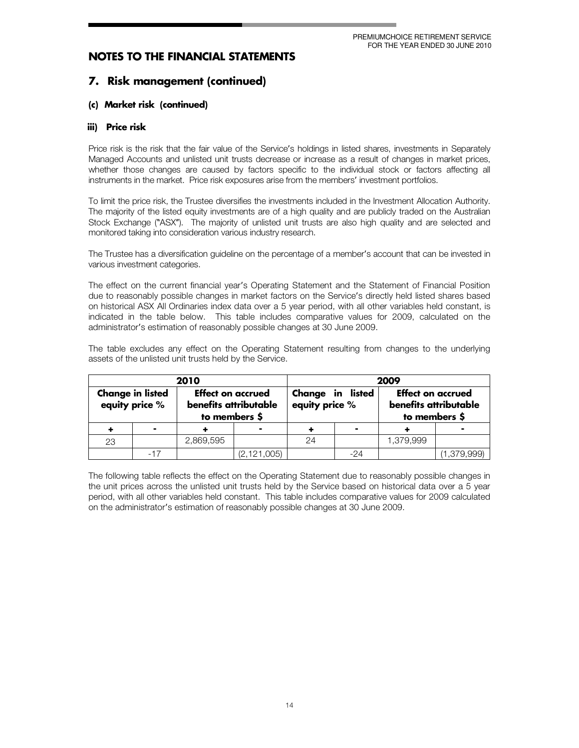## 7. Risk management (continued)

#### (c) Market risk (continued)

#### iii) Price risk

Price risk is the risk that the fair value of the Service's holdings in listed shares, investments in Separately Managed Accounts and unlisted unit trusts decrease or increase as a result of changes in market prices, whether those changes are caused by factors specific to the individual stock or factors affecting all instruments in the market. Price risk exposures arise from the members' investment portfolios.

To limit the price risk, the Trustee diversifies the investments included in the Investment Allocation Authority. The majority of the listed equity investments are of a high quality and are publicly traded on the Australian Stock Exchange ("ASX"). The majority of unlisted unit trusts are also high quality and are selected and monitored taking into consideration various industry research.

The Trustee has a diversification guideline on the percentage of a member's account that can be invested in various investment categories.

The effect on the current financial year's Operating Statement and the Statement of Financial Position due to reasonably possible changes in market factors on the Service's directly held listed shares based on historical ASX All Ordinaries index data over a 5 year period, with all other variables held constant, is indicated in the table below. This table includes comparative values for 2009, calculated on the administrator's estimation of reasonably possible changes at 30 June 2009.

The table excludes any effect on the Operating Statement resulting from changes to the underlying assets of the unlisted unit trusts held by the Service.

|    |                                           | 2010                                                               |               | 2009                                                                                                     |       |           |             |
|----|-------------------------------------------|--------------------------------------------------------------------|---------------|----------------------------------------------------------------------------------------------------------|-------|-----------|-------------|
|    | <b>Change in listed</b><br>equity price % | <b>Effect on accrued</b><br>benefits attributable<br>to members \$ |               | Change in listed<br><b>Effect on accrued</b><br>equity price %<br>benefits attributable<br>to members \$ |       |           |             |
|    | $\blacksquare$                            |                                                                    |               |                                                                                                          |       |           |             |
| 23 |                                           | 2,869,595                                                          |               | 24                                                                                                       |       | 1,379,999 |             |
|    |                                           |                                                                    | (2, 121, 005) |                                                                                                          | $-24$ |           | (1,379,999) |

The following table reflects the effect on the Operating Statement due to reasonably possible changes in the unit prices across the unlisted unit trusts held by the Service based on historical data over a 5 year period, with all other variables held constant. This table includes comparative values for 2009 calculated on the administrator's estimation of reasonably possible changes at 30 June 2009.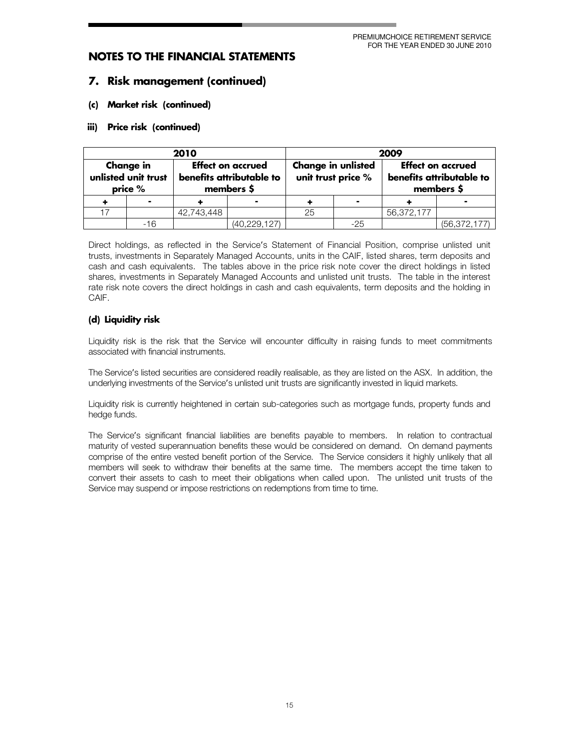### 7. Risk management (continued)

#### (c) Market risk (continued)

#### iii) Price risk (continued)

| 2010                                               |       |            | 2009                                                               |    |                                                                                                                       |            |                |
|----------------------------------------------------|-------|------------|--------------------------------------------------------------------|----|-----------------------------------------------------------------------------------------------------------------------|------------|----------------|
| <b>Change in</b><br>unlisted unit trust<br>price % |       |            | <b>Effect on accrued</b><br>benefits attributable to<br>members \$ |    | <b>Change in unlisted</b><br><b>Effect on accrued</b><br>unit trust price %<br>benefits attributable to<br>members \$ |            |                |
|                                                    |       |            |                                                                    |    | $\blacksquare$                                                                                                        |            |                |
|                                                    |       | 42.743.448 |                                                                    | 25 |                                                                                                                       | 56,372,177 |                |
|                                                    | $-16$ |            | (40, 229, 127)                                                     |    | $-25$                                                                                                                 |            | (56, 372, 177) |

Direct holdings, as reflected in the Service's Statement of Financial Position, comprise unlisted unit trusts, investments in Separately Managed Accounts, units in the CAIF, listed shares, term deposits and cash and cash equivalents. The tables above in the price risk note cover the direct holdings in listed shares, investments in Separately Managed Accounts and unlisted unit trusts. The table in the interest rate risk note covers the direct holdings in cash and cash equivalents, term deposits and the holding in CAIF.

#### (d) Liquidity risk

Liquidity risk is the risk that the Service will encounter difficulty in raising funds to meet commitments associated with financial instruments.

The Service's listed securities are considered readily realisable, as they are listed on the ASX. In addition, the underlying investments of the Service's unlisted unit trusts are significantly invested in liquid markets.

Liquidity risk is currently heightened in certain sub-categories such as mortgage funds, property funds and hedge funds.

The Service's significant financial liabilities are benefits payable to members. In relation to contractual maturity of vested superannuation benefits these would be considered on demand. On demand payments comprise of the entire vested benefit portion of the Service. The Service considers it highly unlikely that all members will seek to withdraw their benefits at the same time. The members accept the time taken to convert their assets to cash to meet their obligations when called upon. The unlisted unit trusts of the Service may suspend or impose restrictions on redemptions from time to time.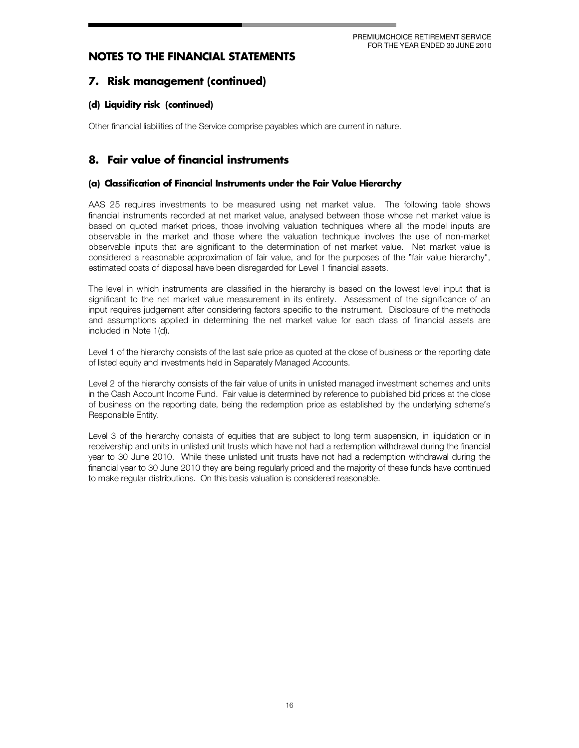PREMIUMCHOICE RETIREMENT SERVICE FOR THE YEAR ENDED 30 JUNE 2010

## **NOTES TO THE FINANCIAL STATEMENTS**

## 7. Risk management (continued)

#### (d) Liquidity risk (continued)

Other financial liabilities of the Service comprise payables which are current in nature.

## 8. Fair value of financial instruments

#### (a) Classification of Financial Instruments under the Fair Value Hierarch<sub>)</sub>

AAS 25 requires investments to be measured using net market value. The following table shows financial instruments recorded at net market value, analysed between those whose net market value is based on quoted market prices, those involving valuation techniques where all the model inputs are observable in the market and those where the valuation technique involves the use of non-market observable inputs that are significant to the determination of net market value. Net market value is considered a reasonable approximation of fair value, and for the purposes of the "fair value hierarchy", estimated costs of disposal have been disregarded for Level 1 financial assets.

The level in which instruments are classified in the hierarchy is based on the lowest level input that is significant to the net market value measurement in its entirety. Assessment of the significance of an input requires judgement after considering factors specific to the instrument. Disclosure of the methods and assumptions applied in determining the net market value for each class of financial assets are included in Note 1(d).

Level 1 of the hierarchy consists of the last sale price as quoted at the close of business or the reporting date of listed equity and investments held in Separately Managed Accounts.

Level 2 of the hierarchy consists of the fair value of units in unlisted managed investment schemes and units in the Cash Account Income Fund. Fair value is determined by reference to published bid prices at the close of business on the reporting date, being the redemption price as established by the underlying scheme's Responsible Entity.

Level3 of the hierarchy consists of equities that are subject to long term suspension, in liquidation or in receivership and units in unlisted unit trusts which have not had a redemption withdrawal during the financial year to 30 June 2010. While these unlisted unit trusts have not had a redemption withdrawal during the financial year to 30 June 2010 they are being regularly priced and the majority of these funds have continued to make regular distributions. On this basis valuation is considered reasonable.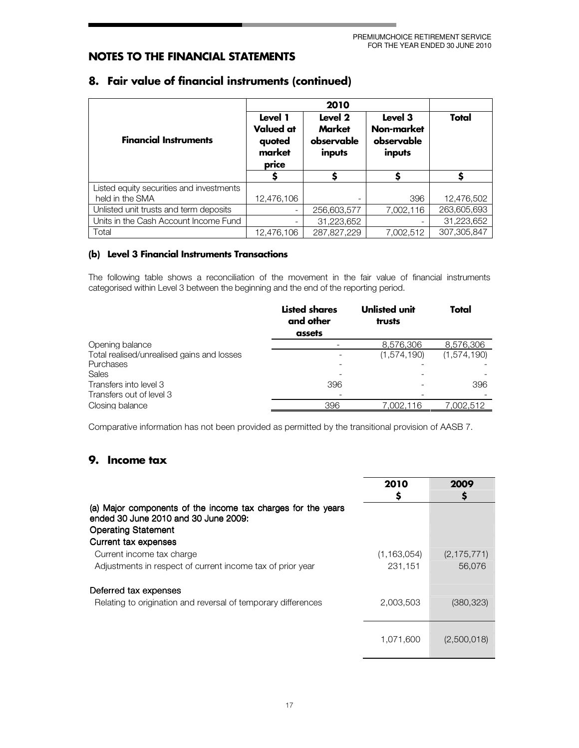| <b>Financial Instruments</b>             | Level 1<br><b>Valued at</b><br>quoted<br>market<br>price | Level 2<br><b>Market</b><br>observable<br>inputs | Level 3<br>Non-market<br>observable<br>inputs | Total       |
|------------------------------------------|----------------------------------------------------------|--------------------------------------------------|-----------------------------------------------|-------------|
|                                          | Ş                                                        |                                                  |                                               |             |
| Listed equity securities and investments |                                                          |                                                  |                                               |             |
| held in the SMA                          | 12,476,106                                               |                                                  | 396                                           | 12,476,502  |
| Unlisted unit trusts and term deposits   | $\overline{\phantom{a}}$                                 | 256,603,577                                      | 7,002,116                                     | 263,605,693 |
| Units in the Cash Account Income Fund    | -                                                        | 31,223,652                                       |                                               | 31,223,652  |
| Total                                    | 12,476,106                                               | 287,827,229                                      | 7,002,512                                     | 307,305,847 |

## 8. Fair value of financial instruments (continued)

#### (b) Level 3 Financial Instruments Transactions

The following table shows a reconciliation of the movement in the fair value of financial instruments categorised within Level 3 between the beginning and the end of the reporting period.

|                                            | <b>Listed shares</b><br>and other<br>assets | <b>Unlisted unit</b><br>trusts | Total       |
|--------------------------------------------|---------------------------------------------|--------------------------------|-------------|
| Opening balance                            |                                             | 8.576.306                      | 8.576.306   |
| Total realised/unrealised gains and losses |                                             | (1.574.190)                    | (1,574,190) |
| Purchases                                  |                                             |                                |             |
| Sales                                      |                                             |                                |             |
| Transfers into level 3                     | 396                                         |                                | 396         |
| Transfers out of level 3                   |                                             |                                |             |
| Closing balance                            | 396                                         | 7.002.116                      | 002.512."   |
|                                            |                                             |                                |             |

Comparative information has not been provided as permitted by the transitional provision of AASB 7.

## 9. Income tax

|                                                                                                                                    | 2010          | 2009          |
|------------------------------------------------------------------------------------------------------------------------------------|---------------|---------------|
| (a) Major components of the income tax charges for the years<br>ended 30 June 2010 and 30 June 2009:<br><b>Operating Statement</b> |               |               |
| Current tax expenses                                                                                                               |               |               |
| Current income tax charge                                                                                                          | (1, 163, 054) | (2, 175, 771) |
| Adjustments in respect of current income tax of prior year                                                                         | 231,151       | 56,076        |
| Deferred tax expenses                                                                                                              |               |               |
| Relating to origination and reversal of temporary differences                                                                      | 2,003,503     | (380, 323)    |
|                                                                                                                                    | 1,071,600     | (2,500,018)   |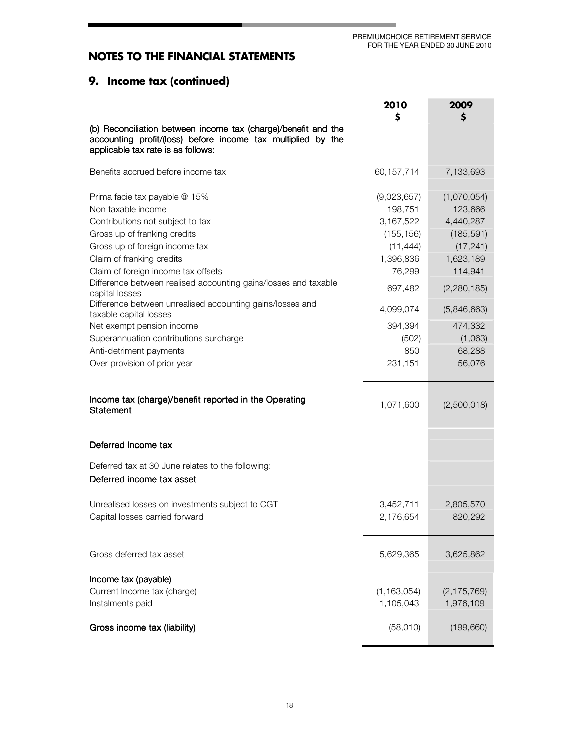## 9. Income tax (continued)

|                                                                                                                                                                                                                                                                                                                                                                                                                                                                                  | 2010                                                                                                                              | 2009                                                                                                                                       |
|----------------------------------------------------------------------------------------------------------------------------------------------------------------------------------------------------------------------------------------------------------------------------------------------------------------------------------------------------------------------------------------------------------------------------------------------------------------------------------|-----------------------------------------------------------------------------------------------------------------------------------|--------------------------------------------------------------------------------------------------------------------------------------------|
| (b) Reconciliation between income tax (charge)/benefit and the<br>accounting profit/(loss) before income tax multiplied by the<br>applicable tax rate is as follows:                                                                                                                                                                                                                                                                                                             | \$                                                                                                                                | S                                                                                                                                          |
| Benefits accrued before income tax                                                                                                                                                                                                                                                                                                                                                                                                                                               | 60,157,714                                                                                                                        | 7,133,693                                                                                                                                  |
| Prima facie tax payable @ 15%<br>Non taxable income<br>Contributions not subject to tax<br>Gross up of franking credits<br>Gross up of foreign income tax<br>Claim of franking credits<br>Claim of foreign income tax offsets<br>Difference between realised accounting gains/losses and taxable<br>capital losses<br>Difference between unrealised accounting gains/losses and<br>taxable capital losses<br>Net exempt pension income<br>Superannuation contributions surcharge | (9,023,657)<br>198,751<br>3,167,522<br>(155, 156)<br>(11, 444)<br>1,396,836<br>76,299<br>697,482<br>4,099,074<br>394,394<br>(502) | (1,070,054)<br>123,666<br>4,440,287<br>(185, 591)<br>(17, 241)<br>1,623,189<br>114,941<br>(2,280,185)<br>(5,846,663)<br>474,332<br>(1,063) |
| Anti-detriment payments<br>Over provision of prior year                                                                                                                                                                                                                                                                                                                                                                                                                          | 850<br>231,151                                                                                                                    | 68,288<br>56,076                                                                                                                           |
| Income tax (charge)/benefit reported in the Operating<br><b>Statement</b>                                                                                                                                                                                                                                                                                                                                                                                                        | 1,071,600                                                                                                                         | (2,500,018)                                                                                                                                |
| Deferred income tax                                                                                                                                                                                                                                                                                                                                                                                                                                                              |                                                                                                                                   |                                                                                                                                            |
| Deferred tax at 30 June relates to the following:<br>Deferred income tax asset                                                                                                                                                                                                                                                                                                                                                                                                   |                                                                                                                                   |                                                                                                                                            |
| Unrealised losses on investments subject to CGT<br>Capital losses carried forward                                                                                                                                                                                                                                                                                                                                                                                                | 3,452,711<br>2,176,654                                                                                                            | 2,805,570<br>820,292                                                                                                                       |
| Gross deferred tax asset                                                                                                                                                                                                                                                                                                                                                                                                                                                         | 5,629,365                                                                                                                         | 3,625,862                                                                                                                                  |
| Income tax (payable)<br>Current Income tax (charge)<br>Instalments paid                                                                                                                                                                                                                                                                                                                                                                                                          | (1, 163, 054)<br>1,105,043                                                                                                        | (2, 175, 769)<br>1,976,109                                                                                                                 |
| Gross income tax (liability)                                                                                                                                                                                                                                                                                                                                                                                                                                                     | (58,010)                                                                                                                          | (199, 660)                                                                                                                                 |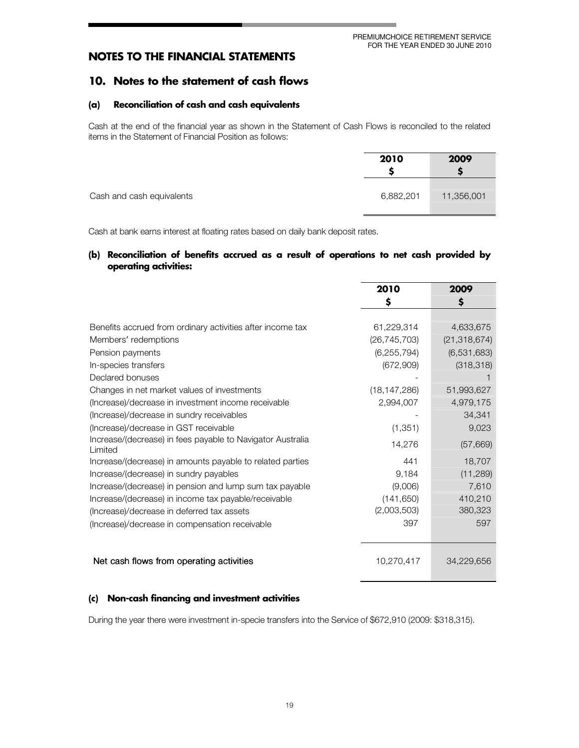## 10. Notes to the statement of cash flows

#### (a) Reconciliation of cash and cash equivalents

Cash at the end of the financial year as shown in the Statement of Cash Flows is reconciled to the related items in the Statement of Financial Position as follows:

|                           | 2010      | 2009       |
|---------------------------|-----------|------------|
| Cash and cash equivalents | 6,882,201 | 11,356,001 |

Cash at bank earns interest at floating rates based on daily bank deposit rates.

#### (b) Reconciliation of benefits accrued as a result of operations to net cash provided by operating activities:

|                                                                       | 2010           | 2009           |
|-----------------------------------------------------------------------|----------------|----------------|
|                                                                       | \$             | \$             |
|                                                                       |                |                |
| Benefits accrued from ordinary activities after income tax            | 61,229,314     | 4,633,675      |
| Members' redemptions                                                  | (26, 745, 703) | (21, 318, 674) |
| Pension payments                                                      | (6, 255, 794)  | (6,531,683)    |
| In-species transfers                                                  | (672,909)      | (318, 318)     |
| Declared bonuses                                                      |                |                |
| Changes in net market values of investments                           | (18, 147, 286) | 51,993,627     |
| (Increase)/decrease in investment income receivable                   | 2,994,007      | 4,979,175      |
| (Increase)/decrease in sundry receivables                             |                | 34.341         |
| (Increase)/decrease in GST receivable                                 | (1, 351)       | 9,023          |
| Increase/(decrease) in fees payable to Navigator Australia<br>Limited | 14,276         | (57,669)       |
| Increase/(decrease) in amounts payable to related parties             | 441            | 18,707         |
| Increase/(decrease) in sundry payables                                | 9,184          | (11, 289)      |
| Increase/(decrease) in pension and lump sum tax payable               | (9,006)        | 7,610          |
| Increase/(decrease) in income tax payable/receivable                  | (141, 650)     | 410,210        |
| (Increase)/decrease in deferred tax assets                            | (2,003,503)    | 380,323        |
| (Increase)/decrease in compensation receivable                        | 397            | 597            |
|                                                                       |                |                |
| Net cash flows from operating activities                              | 10,270,417     | 34,229,656     |

#### (c) Non-cash financing and investment activities

During the year there were investment in-specie transfers into the Service of \$672,910 (2009: \$318,315).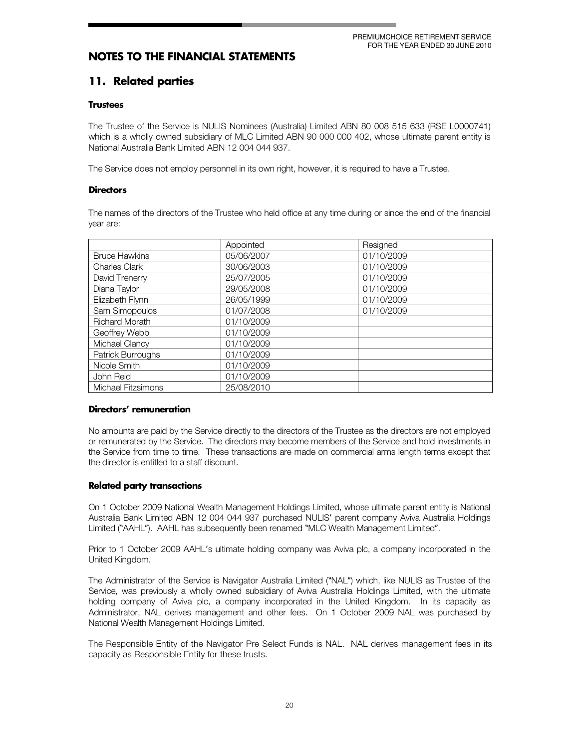## 11. Related parties

#### **Trustees**

The Trustee of the Service is NULIS Nominees (Australia) Limited ABN 80 008 515 633 (RSE L0000741) which is a wholly owned subsidiary of MLC Limited ABN 90 000 000 402, whose ultimate parent entity is National Australia Bank Limited ABN 12 004 044 937.

The Service does not employ personnel in its own right, however, it is required to have a Trustee.

#### **Directors**

The names of the directors of the Trustee who held office at any time during or since the end of the financial year are:

|                       | Appointed  | Resigned   |
|-----------------------|------------|------------|
| <b>Bruce Hawkins</b>  | 05/06/2007 | 01/10/2009 |
| <b>Charles Clark</b>  | 30/06/2003 | 01/10/2009 |
| David Trenerry        | 25/07/2005 | 01/10/2009 |
| Diana Taylor          | 29/05/2008 | 01/10/2009 |
| Elizabeth Flynn       | 26/05/1999 | 01/10/2009 |
| Sam Simopoulos        | 01/07/2008 | 01/10/2009 |
| <b>Richard Morath</b> | 01/10/2009 |            |
| Geoffrey Webb         | 01/10/2009 |            |
| Michael Clancy        | 01/10/2009 |            |
| Patrick Burroughs     | 01/10/2009 |            |
| Nicole Smith          | 01/10/2009 |            |
| John Reid             | 01/10/2009 |            |
| Michael Fitzsimons    | 25/08/2010 |            |

#### Directors' remuneration

No amounts are paid by the Service directly to the directors of the Trustee as the directors are not employed or remunerated by the Service. The directors may become members of the Service and hold investments in the Service from time to time. These transactions are made on commercial arms length terms except that the director is entitled to a staff discount.

#### **Related party transactions**

On 1 October 2009 National Wealth Management Holdings Limited, whose ultimate parent entity is National Australia Bank Limited ABN 12 004 044 937 purchased NULIS' parent company Aviva Australia Holdings Limited ("AAHL"). AAHL has subsequently been renamed "MLC Wealth Management Limited".

Prior to 1 October 2009 AAHL's ultimate holding company was Aviva plc, a company incorporated in the United Kingdom.

The Administrator of the Service is Navigator Australia Limited ("NAL") which, like NULIS as Trustee of the Service, was previously a wholly owned subsidiary of Aviva Australia Holdings Limited, with the ultimate holding company of Aviva plc, a company incorporated in the United Kingdom. In its capacity as Administrator, NAL derives management and other fees. On 1 October 2009 NAL was purchased by National Wealth Management Holdings Limited.

The Responsible Entity of the Navigator Pre Select Funds is NAL. NAL derives management fees in its capacity as Responsible Entity for these trusts.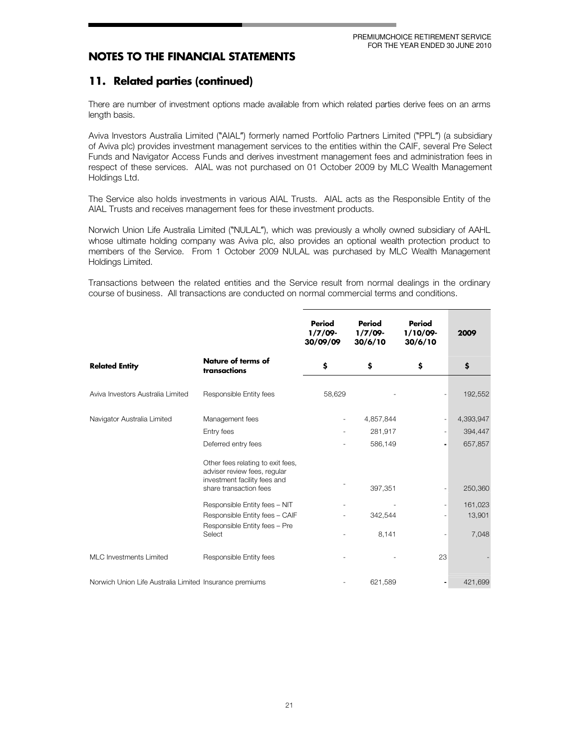## 11. Related parties (continued)

There are number of investment options made available from which related parties derive fees on an arms length basis.

Aviva Investors Australia Limited ("AIAL") formerly named Portfolio Partners Limited ("PPL") (a subsidiary of Aviva plc) provides investment management services to the entities within the CAIF, several Pre Select Funds and Navigator Access Funds and derives investment management fees and administration fees in respect of these services. AIAL was not purchased on 01 October 2009 by MLC Wealth Management Holdings Ltd.

The Service also holds investments in various AIAL Trusts. AIAL acts as the Responsible Entity of the AIAL Trusts and receives management fees for these investment products.

Norwich Union Life Australia Limited ("NULAL"), which was previously a wholly owned subsidiary of AAHL whose ultimate holding company was Aviva plc, also provides an optional wealth protection product to members of the Service. From 1 October 2009 NULAL was purchased by MLC Wealth Management Holdings Limited.

Transactions between the related entities and the Service result from normal dealings in the ordinary course of business. All transactions are conducted on normal commercial terms and conditions.

|                                                         |                                                                                                                             | Period<br>$1/7/09$ -<br>30/09/09 | Period<br>1/7/09<br>30/6/10 | Period<br>$1/10/09 -$<br>30/6/10 | 2009      |
|---------------------------------------------------------|-----------------------------------------------------------------------------------------------------------------------------|----------------------------------|-----------------------------|----------------------------------|-----------|
| <b>Related Entity</b>                                   | <b>Nature of terms of</b><br>transactions                                                                                   | \$                               | \$                          | \$                               | \$        |
| Aviva Investors Australia Limited                       | Responsible Entity fees                                                                                                     | 58,629                           |                             |                                  | 192,552   |
| Navigator Australia Limited                             | Management fees                                                                                                             |                                  | 4,857,844                   |                                  | 4,393,947 |
|                                                         | Entry fees                                                                                                                  |                                  | 281,917                     | $\overline{\phantom{a}}$         | 394,447   |
|                                                         | Deferred entry fees                                                                                                         |                                  | 586,149                     | $\qquad \qquad \blacksquare$     | 657,857   |
|                                                         | Other fees relating to exit fees,<br>adviser review fees, regular<br>investment facility fees and<br>share transaction fees |                                  | 397,351                     |                                  | 250,360   |
|                                                         | Responsible Entity fees - NIT                                                                                               |                                  |                             | $\overline{\phantom{a}}$         | 161,023   |
|                                                         | Responsible Entity fees - CAIF                                                                                              |                                  | 342,544                     | $\overline{a}$                   | 13,901    |
|                                                         | Responsible Entity fees - Pre<br>Select                                                                                     |                                  | 8,141                       | $\overline{a}$                   | 7,048     |
| <b>MLC</b> Investments Limited                          | Responsible Entity fees                                                                                                     |                                  |                             | 23                               |           |
| Norwich Union Life Australia Limited Insurance premiums |                                                                                                                             |                                  | 621,589                     | $\overline{\phantom{a}}$         | 421,699   |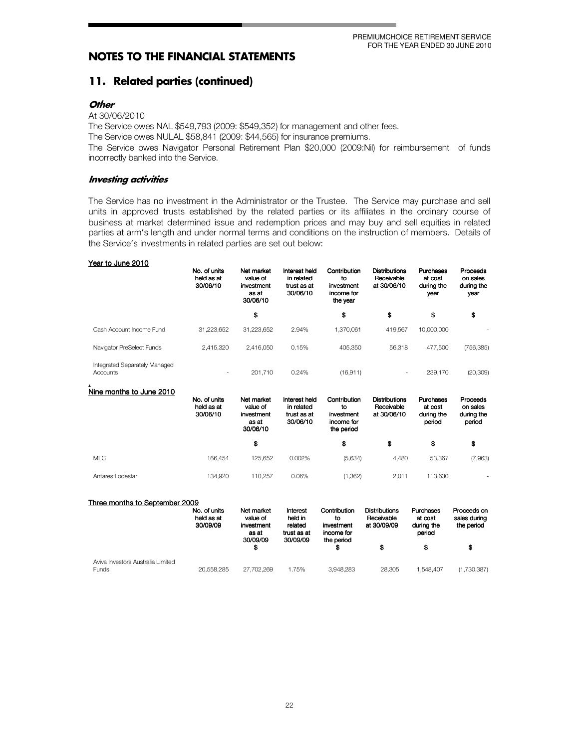## 11. Related parties (continued)

#### **Other**

#### At 30/06/2010

The Service owes NAL \$549,793 (2009: \$549,352) for management and other fees.

The Service owes NULAL \$58,841 (2009: \$44,565) for insurance premiums.

The Service owes Navigator Personal Retirement Plan \$20,000 (2009:Nil) for reimbursement of funds incorrectly banked into the Service.

#### **Investing activities**

The Service has no investment in the Administrator or the Trustee. The Service may purchase and sell units in approved trusts established by the related parties or its affiliates in the ordinary course of business at market determined issue and redemption prices and may buy and sell equities in related parties at arm's length and under normal terms and conditions on the instruction of members. Details of the Service's investments in related parties are set out below:

#### Year to June 2010

|                                           | No. of units<br>held as at<br>30/06/10 | Net market<br>value of<br>investment<br>as at<br>30/06/10 | Interest held<br>in related<br>trust as at<br>30/06/10 | Contribution<br>to<br>investment<br>income for<br>the year | <b>Distributions</b><br>Receivable<br>at 30/06/10 | Purchases<br>at cost<br>during the<br>year | Proceeds<br>on sales<br>during the<br>year |
|-------------------------------------------|----------------------------------------|-----------------------------------------------------------|--------------------------------------------------------|------------------------------------------------------------|---------------------------------------------------|--------------------------------------------|--------------------------------------------|
|                                           |                                        | \$                                                        |                                                        | \$                                                         | \$                                                | \$                                         | \$                                         |
| Cash Account Income Fund                  | 31.223.652                             | 31.223.652                                                | 2.94%                                                  | 1.370.061                                                  | 419.567                                           | 10.000.000                                 |                                            |
| Navigator PreSelect Funds                 | 2.415.320                              | 2.416.050                                                 | 0.15%                                                  | 405.350                                                    | 56,318                                            | 477.500                                    | (756, 385)                                 |
| Integrated Separately Managed<br>Accounts |                                        | 201.710                                                   | 0.24%                                                  | (16, 911)                                                  |                                                   | 239.170                                    | (20, 309)                                  |

#### Nine months to June 2010

|                  | No. of units<br>held as at<br>30/06/10 | Net market<br>value of<br>investment<br>as at<br>30/06/10 | Interest held<br>in related<br>trust as at<br>30/06/10 | Contribution<br>to<br>investment<br>income for<br>the period | <b>Distributions</b><br>Receivable<br>at 30/06/10 | Purchases<br>at cost<br>during the<br>period | Proceeds<br>on sales<br>during the<br>period |
|------------------|----------------------------------------|-----------------------------------------------------------|--------------------------------------------------------|--------------------------------------------------------------|---------------------------------------------------|----------------------------------------------|----------------------------------------------|
|                  |                                        | \$                                                        |                                                        | \$                                                           | \$                                                | \$                                           | \$                                           |
| <b>MLC</b>       | 166.454                                | 125.652                                                   | 0.002%                                                 | (5,634)                                                      | 4.480                                             | 53,367                                       | (7,963)                                      |
| Antares Lodestar | 134.920                                | 110.257                                                   | 0.06%                                                  | (1,362)                                                      | 2.011                                             | 113.630                                      |                                              |

| Three months to September 2009                    |                                        |                                                           |                                                           |                                                              |                                                   |                                              |                                           |
|---------------------------------------------------|----------------------------------------|-----------------------------------------------------------|-----------------------------------------------------------|--------------------------------------------------------------|---------------------------------------------------|----------------------------------------------|-------------------------------------------|
|                                                   | No. of units<br>held as at<br>30/09/09 | Net market<br>value of<br>investment<br>as at<br>30/09/09 | Interest<br>held in<br>related<br>trust as at<br>30/09/09 | Contribution<br>to<br>investment<br>income for<br>the period | <b>Distributions</b><br>Receivable<br>at 30/09/09 | Purchases<br>at cost<br>during the<br>period | Proceeds on<br>sales during<br>the period |
|                                                   |                                        | \$                                                        |                                                           |                                                              | S                                                 | \$                                           | S                                         |
| Aviva Investors Australia Limited<br><b>Funds</b> | 20.558.285                             | 27.702.269                                                | 1.75%                                                     | 3.948.283                                                    | 28.305                                            | 1.548.407                                    | (1,730,387)                               |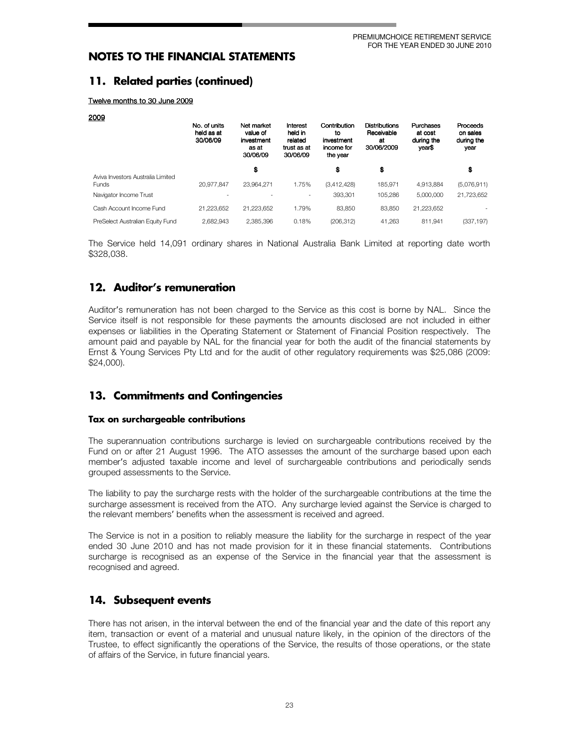## 11. Related parties (continued)

Twelve months to 30 June 2009

| 2009                                              |                                        |                                                           |                                                           |                                                            |                                                        |                                              |                                            |
|---------------------------------------------------|----------------------------------------|-----------------------------------------------------------|-----------------------------------------------------------|------------------------------------------------------------|--------------------------------------------------------|----------------------------------------------|--------------------------------------------|
|                                                   | No. of units<br>held as at<br>30/06/09 | Net market<br>value of<br>investment<br>as at<br>30/06/09 | Interest<br>held in<br>related<br>trust as at<br>30/06/09 | Contribution<br>to<br>investment<br>income for<br>the year | <b>Distributions</b><br>Receivable<br>at<br>30/06/2009 | Purchases<br>at cost<br>during the<br>year\$ | Proceeds<br>on sales<br>during the<br>year |
|                                                   |                                        | \$                                                        |                                                           | \$                                                         | \$                                                     |                                              | \$                                         |
| Aviva Investors Australia Limited<br><b>Funds</b> | 20.977.847                             | 23.964.271                                                | 1.75%                                                     | (3,412,428)                                                | 185.971                                                | 4.913.884                                    | (5,076,911)                                |
| Navigator Income Trust                            |                                        |                                                           |                                                           | 393.301                                                    | 105.286                                                | 5.000.000                                    | 21.723.652                                 |
| Cash Account Income Fund                          | 21.223.652                             | 21.223.652                                                | 1.79%                                                     | 83.850                                                     | 83.850                                                 | 21.223.652                                   |                                            |
| PreSelect Australian Equity Fund                  | 2.682.943                              | 2.385.396                                                 | 0.18%                                                     | (206.312)                                                  | 41.263                                                 | 811.941                                      | (337, 197)                                 |

The Service held 14,091 ordinary shares in National Australia Bank Limited at reporting date worth \$328.038.

## 12. Auditor's remuneration

Auditor's remuneration has not been charged to the Service as this cost is borne by NAL. Since the Service itself is not responsible for these payments the amounts disclosed are not included in either expenses or liabilities in the Operating Statement or Statement of Financial Position respectively. The amount paid and payable by NAL for the financial year for both the audit of the financial statements by Ernst & Young Services Pty Ltd and for the audit of other regulatory requirements was \$25,086 (2009:  $$24,000$ ).

## 13. Commitments and Contingencies

#### Tax on surchargeable contributions

The superannuation contributions surcharge is levied on surchargeable contributions received by the Fund on or after 21 August 1996. The ATO assesses the amount of the surcharge based upon each member's adjusted taxable income and level of surchargeable contributions and periodically sends grouped assessments to the Service.

The liability to pay the surcharge rests with the holder of the surchargeable contributions at the time the surcharge assessment is received from the ATO. Any surcharge levied against the Service is charged to the relevant members' benefits when the assessment is received and agreed.

The Service is not in a position to reliably measure the liability for the surcharge in respect of the year ended 30 June 2010 and has not made provision for it in these financial statements. Contributions surcharge is recognised as an expense of the Service in the financial year that the assessment is recognised and agreed.

## 14. Subsequent events

There has not arisen, in the interval between the end of the financial year and the date of this report any item, transaction or event of a material and unusual nature likely, in the opinion of the directors of the Trustee, to effect significantly the operations of the Service, the results of those operations, or the state of affairs of the Service, in future financial years.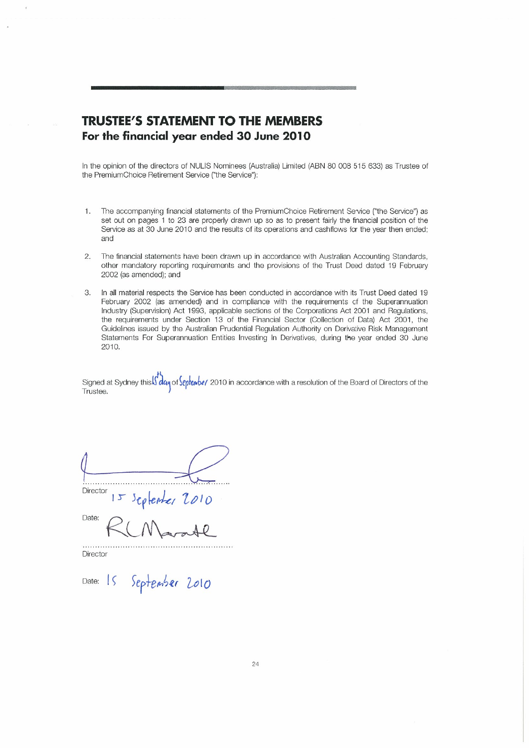## **TRUSTEE'S STATEMENT TO THE MEMBERS** For the financial year ended 30 June 2010

In the opinion of the directors of NULIS Nominees (Australia) Limited (ABN 80 008 515 633) as Trustee of the PremiumChoice Retirement Service ("the Service"):

- The accompanying financial statements of the PremiumChoice Retirement Service ("the Service") as  $1.$ set out on pages 1 to 23 are properly drawn up so as to present fairly the financial position of the Service as at 30 June 2010 and the results of its operations and cashflows for the year then ended; and
- $2.$ The financial statements have been drawn up in accordance with Australian Accounting Standards, other mandatory reporting requirements and the provisions of the Trust Deed dated 19 February 2002 (as amended); and
- 3. In all material respects the Service has been conducted in accordance with its Trust Deed dated 19 February 2002 (as amended) and in compliance with the requirements of the Superannuation Industry (Supervision) Act 1993, applicable sections of the Corporations Act 2001 and Regulations, the requirements under Section 13 of the Financial Sector (Collection of Data) Act 2001, the Guidelines issued by the Australian Prudential Regulation Authority on Derivative Risk Management Statements For Superannuation Entities Investing In Derivatives, during the year ended 30 June 2010.

Signed at Sydney this Solay of September 2010 in accordance with a resolution of the Board of Directors of the Trustee.

 $15$  septenter 2010 Director

Date:

Director

Date: 15 September 2010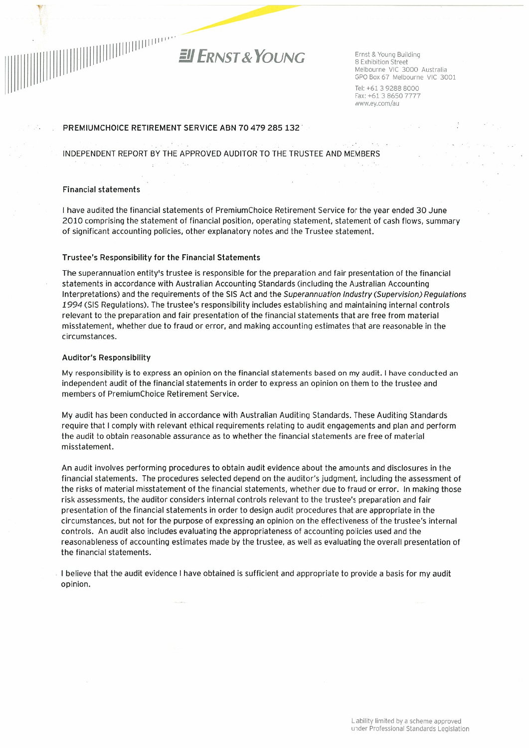

Ernst & Young Building 8 Exhibition Street Melbourne VIC 3000 Australia GPO Box 67 Melbourne VIC 3001

Tel: +61 3 9288 8000 Fax: +61 3 8650 7777 www.ey.com/au

#### PREMIUMCHOICE RETIREMENT SERVICE ABN 70 479 285 132

INDEPENDENT REPORT BY THE APPROVED AUDITOR TO THE TRUSTEE AND MEMBERS

#### **Financial statements**

I have audited the financial statements of PremiumChoice Retirement Service for the year ended 30 June 2010 comprising the statement of financial position, operating statement, statement of cash flows, summary of significant accounting policies, other explanatory notes and the Trustee statement.

#### Trustee's Responsibility for the Financial Statements

 $\ddot{\psi}$ 

The superannuation entity's trustee is responsible for the preparation and fair presentation of the financial statements in accordance with Australian Accounting Standards (including the Australian Accounting Interpretations) and the requirements of the SIS Act and the Superannuation Industry (Supervision) Requlations 1994 (SIS Regulations). The trustee's responsibility includes establishing and maintaining internal controls relevant to the preparation and fair presentation of the financial statements that are free from material misstatement, whether due to fraud or error, and making accounting estimates that are reasonable in the circumstances.

#### **Auditor's Responsibility**

My responsibility is to express an opinion on the financial statements based on my audit. I have conducted an independent audit of the financial statements in order to express an opinion on them to the trustee and members of PremiumChoice Retirement Service.

My audit has been conducted in accordance with Australian Auditing Standards. These Auditing Standards require that I comply with relevant ethical requirements relating to audit engagements and plan and perform the audit to obtain reasonable assurance as to whether the financial statements are free of material misstatement.

An audit involves performing procedures to obtain audit evidence about the amounts and disclosures in the financial statements. The procedures selected depend on the auditor's judgment, including the assessment of the risks of material misstatement of the financial statements, whether due to fraud or error. In making those risk assessments, the auditor considers internal controls relevant to the trustee's preparation and fair presentation of the financial statements in order to design audit procedures that are appropriate in the circumstances, but not for the purpose of expressing an opinion on the effectiveness of the trustee's internal controls. An audit also includes evaluating the appropriateness of accounting policies used and the reasonableness of accounting estimates made by the trustee, as well as evaluating the overall presentation of the financial statements.

I believe that the audit evidence I have obtained is sufficient and appropriate to provide a basis for my audit opinion.